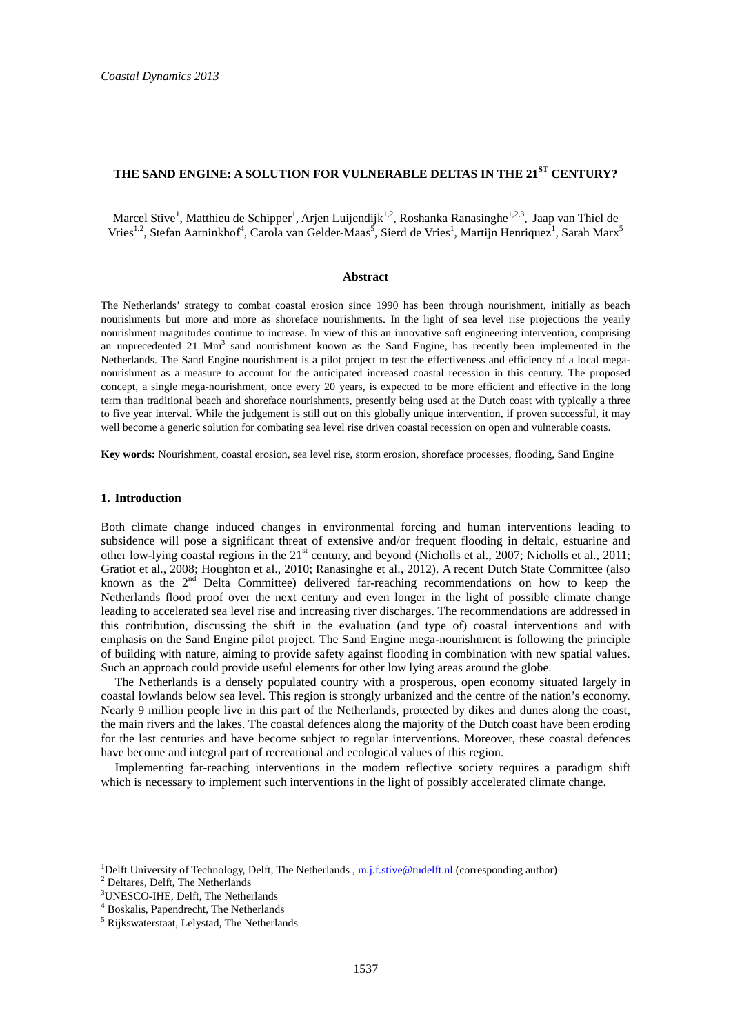# **THE SAND ENGINE: A SOLUTION FOR VULNERABLE DELTAS IN THE 21ST CENTURY?**

Marcel Stive<sup>1</sup>, Matthieu de Schipper<sup>1</sup>, Arjen Luijendijk<sup>1,2</sup>, Roshanka Ranasinghe<sup>1,2,3</sup>, Jaap van Thiel de Vries<sup>1,2</sup>, Stefan Aarninkhof<sup>4</sup>, Carola van Gelder-Maas<sup>5</sup>, Sierd de Vries<sup>1</sup>, Martijn Henriquez<sup>1</sup>, Sarah Marx<sup>5</sup>

# **Abstract**

The Netherlands' strategy to combat coastal erosion since 1990 has been through nourishment, initially as beach nourishments but more and more as shoreface nourishments. In the light of sea level rise projections the yearly nourishment magnitudes continue to increase. In view of this an innovative soft engineering intervention, comprising an unprecedented 21 Mm<sup>3</sup> sand nourishment known as the Sand Engine, has recently been implemented in the Netherlands. The Sand Engine nourishment is a pilot project to test the effectiveness and efficiency of a local meganourishment as a measure to account for the anticipated increased coastal recession in this century. The proposed concept, a single mega-nourishment, once every 20 years, is expected to be more efficient and effective in the long term than traditional beach and shoreface nourishments, presently being used at the Dutch coast with typically a three to five year interval. While the judgement is still out on this globally unique intervention, if proven successful, it may well become a generic solution for combating sea level rise driven coastal recession on open and vulnerable coasts.

**Key words:** Nourishment, coastal erosion, sea level rise, storm erosion, shoreface processes, flooding, Sand Engine

### **1. Introduction**

Both climate change induced changes in environmental forcing and human interventions leading to subsidence will pose a significant threat of extensive and/or frequent flooding in deltaic, estuarine and other low-lying coastal regions in the 21<sup>st</sup> century, and beyond (Nicholls et al., 2007; Nicholls et al., 2011; Gratiot et al., 2008; Houghton et al., 2010; Ranasinghe et al., 2012). A recent Dutch State Committee (also known as the 2<sup>nd</sup> Delta Committee) delivered far-reaching recommendations on how to keep the Netherlands flood proof over the next century and even longer in the light of possible climate change leading to accelerated sea level rise and increasing river discharges. The recommendations are addressed in this contribution, discussing the shift in the evaluation (and type of) coastal interventions and with emphasis on the Sand Engine pilot project. The Sand Engine mega-nourishment is following the principle of building with nature, aiming to provide safety against flooding in combination with new spatial values. Such an approach could provide useful elements for other low lying areas around the globe.

The Netherlands is a densely populated country with a prosperous, open economy situated largely in coastal lowlands below sea level. This region is strongly urbanized and the centre of the nation's economy. Nearly 9 million people live in this part of the Netherlands, protected by dikes and dunes along the coast, the main rivers and the lakes. The coastal defences along the majority of the Dutch coast have been eroding for the last centuries and have become subject to regular interventions. Moreover, these coastal defences have become and integral part of recreational and ecological values of this region.

Implementing far-reaching interventions in the modern reflective society requires a paradigm shift which is necessary to implement such interventions in the light of possibly accelerated climate change.

 $\overline{a}$ 

<sup>&</sup>lt;sup>1</sup>Delft University of Technology, Delft, The Netherlands,  $m.f. \text{stive} @ \text{tudelft.nl}}$  (corresponding author)

<sup>2</sup> Deltares, Delft, The Netherlands

<sup>3</sup>UNESCO-IHE, Delft, The Netherlands

<sup>4</sup> Boskalis, Papendrecht, The Netherlands

<sup>&</sup>lt;sup>5</sup> Rijkswaterstaat, Lelystad, The Netherlands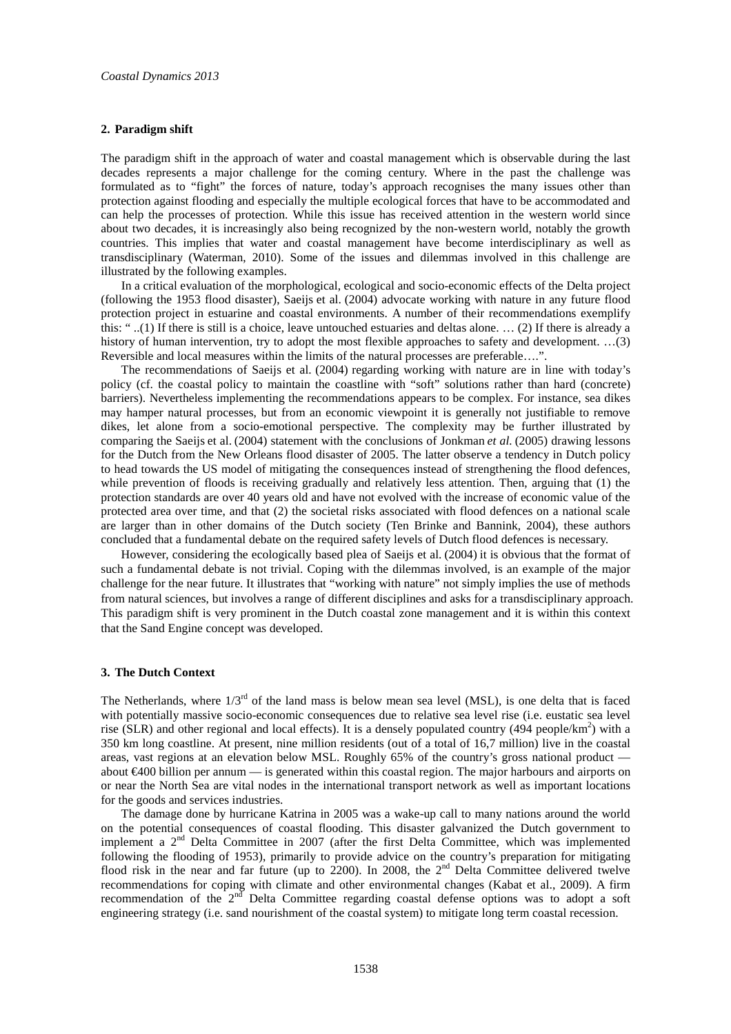### **2. Paradigm shift**

The paradigm shift in the approach of water and coastal management which is observable during the last decades represents a major challenge for the coming century. Where in the past the challenge was formulated as to "fight" the forces of nature, today's approach recognises the many issues other than protection against flooding and especially the multiple ecological forces that have to be accommodated and can help the processes of protection. While this issue has received attention in the western world since about two decades, it is increasingly also being recognized by the non-western world, notably the growth countries. This implies that water and coastal management have become interdisciplinary as well as transdisciplinary (Waterman, 2010). Some of the issues and dilemmas involved in this challenge are illustrated by the following examples.

In a critical evaluation of the morphological, ecological and socio-economic effects of the Delta project (following the 1953 flood disaster), Saeijs et al. (2004) advocate working with nature in any future flood protection project in estuarine and coastal environments. A number of their recommendations exemplify this: " ..(1) If there is still is a choice, leave untouched estuaries and deltas alone. … (2) If there is already a history of human intervention, try to adopt the most flexible approaches to safety and development. ...(3) Reversible and local measures within the limits of the natural processes are preferable….".

The recommendations of Saeijs et al. (2004) regarding working with nature are in line with today's policy (cf. the coastal policy to maintain the coastline with "soft" solutions rather than hard (concrete) barriers). Nevertheless implementing the recommendations appears to be complex. For instance, sea dikes may hamper natural processes, but from an economic viewpoint it is generally not justifiable to remove dikes, let alone from a socio-emotional perspective. The complexity may be further illustrated by comparing the Saeijs et al. (2004) statement with the conclusions of Jonkman *et al.* (2005) drawing lessons for the Dutch from the New Orleans flood disaster of 2005. The latter observe a tendency in Dutch policy to head towards the US model of mitigating the consequences instead of strengthening the flood defences, while prevention of floods is receiving gradually and relatively less attention. Then, arguing that (1) the protection standards are over 40 years old and have not evolved with the increase of economic value of the protected area over time, and that (2) the societal risks associated with flood defences on a national scale are larger than in other domains of the Dutch society (Ten Brinke and Bannink, 2004), these authors concluded that a fundamental debate on the required safety levels of Dutch flood defences is necessary.

However, considering the ecologically based plea of Saeijs et al. (2004) it is obvious that the format of such a fundamental debate is not trivial. Coping with the dilemmas involved, is an example of the major challenge for the near future. It illustrates that "working with nature" not simply implies the use of methods from natural sciences, but involves a range of different disciplines and asks for a transdisciplinary approach. This paradigm shift is very prominent in the Dutch coastal zone management and it is within this context that the Sand Engine concept was developed.

### **3. The Dutch Context**

The Netherlands, where  $1/3^{rd}$  of the land mass is below mean sea level (MSL), is one delta that is faced with potentially massive socio-economic consequences due to relative sea level rise (i.e. eustatic sea level rise (SLR) and other regional and local effects). It is a densely populated country (494 people/km<sup>2</sup>) with a 350 km long coastline. At present, nine million residents (out of a total of 16,7 million) live in the coastal areas, vast regions at an elevation below MSL. Roughly 65% of the country's gross national product about  $\epsilon$ 400 billion per annum — is generated within this coastal region. The major harbours and airports on or near the North Sea are vital nodes in the international transport network as well as important locations for the goods and services industries.

The damage done by hurricane Katrina in 2005 was a wake-up call to many nations around the world on the potential consequences of coastal flooding. This disaster galvanized the Dutch government to implement a 2nd Delta Committee in 2007 (after the first Delta Committee, which was implemented following the flooding of 1953), primarily to provide advice on the country's preparation for mitigating flood risk in the near and far future (up to 2200). In 2008, the 2<sup>nd</sup> Delta Committee delivered twelve recommendations for coping with climate and other environmental changes (Kabat et al., 2009). A firm recommendation of the  $2<sup>nd</sup>$  Delta Committee regarding coastal defense options was to adopt a soft engineering strategy (i.e. sand nourishment of the coastal system) to mitigate long term coastal recession.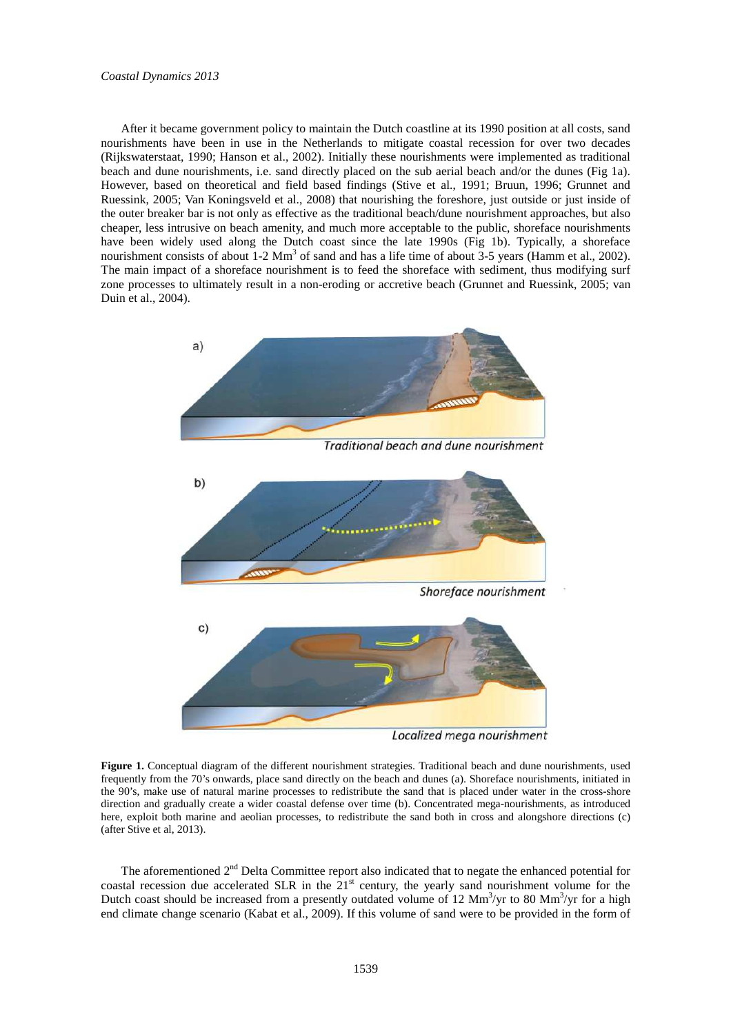After it became government policy to maintain the Dutch coastline at its 1990 position at all costs, sand nourishments have been in use in the Netherlands to mitigate coastal recession for over two decades (Rijkswaterstaat, 1990; Hanson et al., 2002). Initially these nourishments were implemented as traditional beach and dune nourishments, i.e. sand directly placed on the sub aerial beach and/or the dunes (Fig 1a). However, based on theoretical and field based findings (Stive et al., 1991; Bruun, 1996; Grunnet and Ruessink, 2005; Van Koningsveld et al., 2008) that nourishing the foreshore, just outside or just inside of the outer breaker bar is not only as effective as the traditional beach/dune nourishment approaches, but also cheaper, less intrusive on beach amenity, and much more acceptable to the public, shoreface nourishments have been widely used along the Dutch coast since the late 1990s (Fig 1b). Typically, a shoreface nourishment consists of about 1-2 Mm<sup>3</sup> of sand and has a life time of about 3-5 years (Hamm et al., 2002). The main impact of a shoreface nourishment is to feed the shoreface with sediment, thus modifying surf zone processes to ultimately result in a non-eroding or accretive beach (Grunnet and Ruessink, 2005; van Duin et al., 2004).



Localized mega nourishment

**Figure 1.** Conceptual diagram of the different nourishment strategies. Traditional beach and dune nourishments, used frequently from the 70's onwards, place sand directly on the beach and dunes (a). Shoreface nourishments, initiated in the 90's, make use of natural marine processes to redistribute the sand that is placed under water in the cross-shore direction and gradually create a wider coastal defense over time (b). Concentrated mega-nourishments, as introduced here, exploit both marine and aeolian processes, to redistribute the sand both in cross and alongshore directions (c) (after Stive et al, 2013).

The aforementioned  $2<sup>nd</sup>$  Delta Committee report also indicated that to negate the enhanced potential for coastal recession due accelerated SLR in the  $21<sup>st</sup>$  century, the yearly sand nourishment volume for the Dutch coast should be increased from a presently outdated volume of 12  $\text{Mm}^3/\text{yr}$  to 80  $\text{Mm}^3/\text{yr}$  for a high end climate change scenario (Kabat et al., 2009). If this volume of sand were to be provided in the form of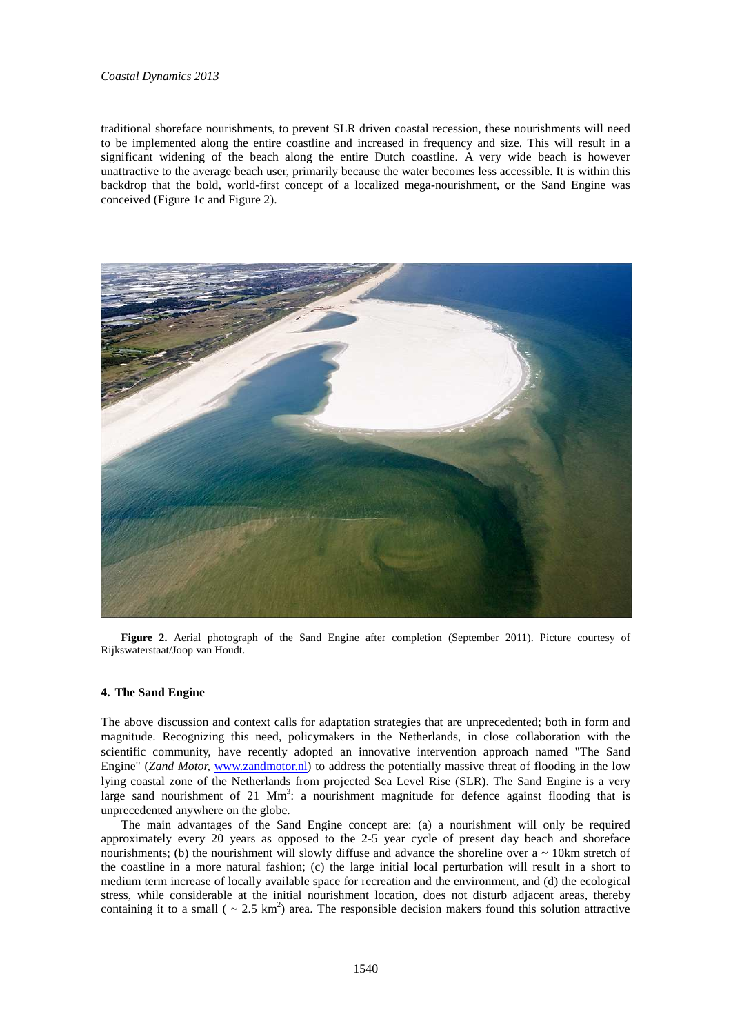# *Coastal Dynamics 2013*

traditional shoreface nourishments, to prevent SLR driven coastal recession, these nourishments will need to be implemented along the entire coastline and increased in frequency and size. This will result in a significant widening of the beach along the entire Dutch coastline. A very wide beach is however unattractive to the average beach user, primarily because the water becomes less accessible. It is within this backdrop that the bold, world-first concept of a localized mega-nourishment, or the Sand Engine was conceived (Figure 1c and Figure 2).



**Figure 2.** Aerial photograph of the Sand Engine after completion (September 2011). Picture courtesy of Rijkswaterstaat/Joop van Houdt.

# **4. The Sand Engine**

The above discussion and context calls for adaptation strategies that are unprecedented; both in form and magnitude. Recognizing this need, policymakers in the Netherlands, in close collaboration with the scientific community, have recently adopted an innovative intervention approach named "The Sand Engine" (*Zand Motor, www.zandmotor.nl*) to address the potentially massive threat of flooding in the low lying coastal zone of the Netherlands from projected Sea Level Rise (SLR). The Sand Engine is a very large sand nourishment of 21  $\text{Mm}^3$ : a nourishment magnitude for defence against flooding that is unprecedented anywhere on the globe.

The main advantages of the Sand Engine concept are: (a) a nourishment will only be required approximately every 20 years as opposed to the 2-5 year cycle of present day beach and shoreface nourishments; (b) the nourishment will slowly diffuse and advance the shoreline over  $a \sim 10 \text{km}$  stretch of the coastline in a more natural fashion; (c) the large initial local perturbation will result in a short to medium term increase of locally available space for recreation and the environment, and (d) the ecological stress, while considerable at the initial nourishment location, does not disturb adjacent areas, thereby containing it to a small ( $\sim 2.5 \text{ km}^2$ ) area. The responsible decision makers found this solution attractive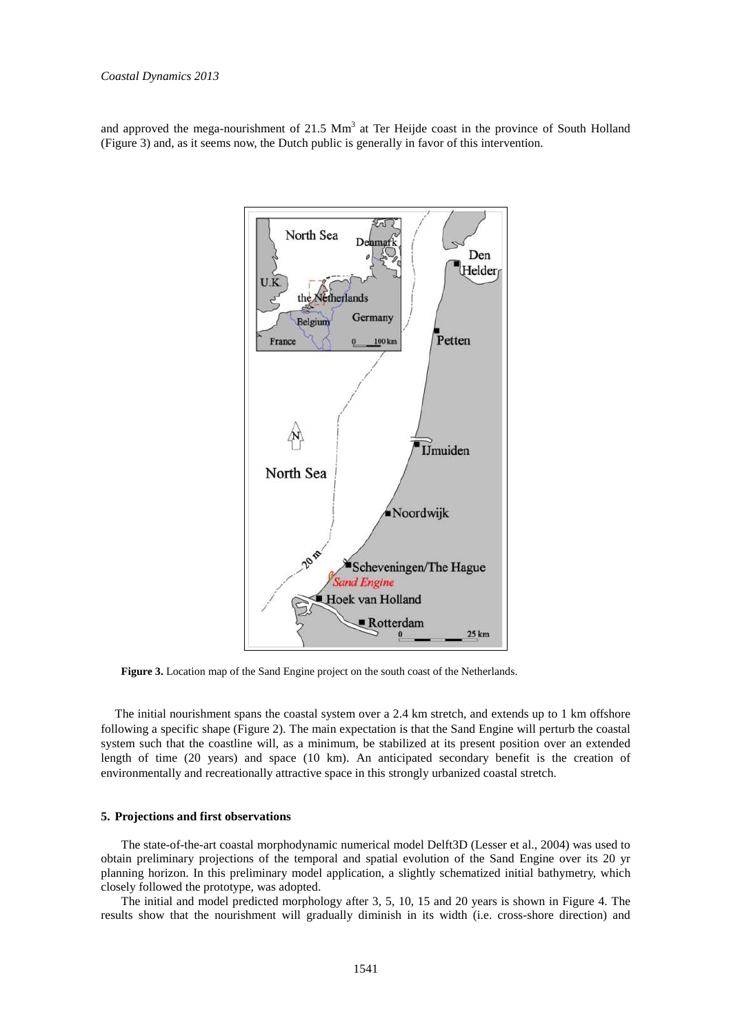and approved the mega-nourishment of  $21.5 \text{ Mm}^3$  at Ter Heijde coast in the province of South Holland (Figure 3) and, as it seems now, the Dutch public is generally in favor of this intervention.



**Figure 3.** Location map of the Sand Engine project on the south coast of the Netherlands.

The initial nourishment spans the coastal system over a 2.4 km stretch, and extends up to 1 km offshore following a specific shape (Figure 2). The main expectation is that the Sand Engine will perturb the coastal system such that the coastline will, as a minimum, be stabilized at its present position over an extended length of time (20 years) and space (10 km). An anticipated secondary benefit is the creation of environmentally and recreationally attractive space in this strongly urbanized coastal stretch.

### **5. Projections and first observations**

The state-of-the-art coastal morphodynamic numerical model Delft3D (Lesser et al., 2004) was used to obtain preliminary projections of the temporal and spatial evolution of the Sand Engine over its 20 yr planning horizon. In this preliminary model application, a slightly schematized initial bathymetry, which closely followed the prototype, was adopted.

The initial and model predicted morphology after 3, 5, 10, 15 and 20 years is shown in Figure 4. The results show that the nourishment will gradually diminish in its width (i.e. cross-shore direction) and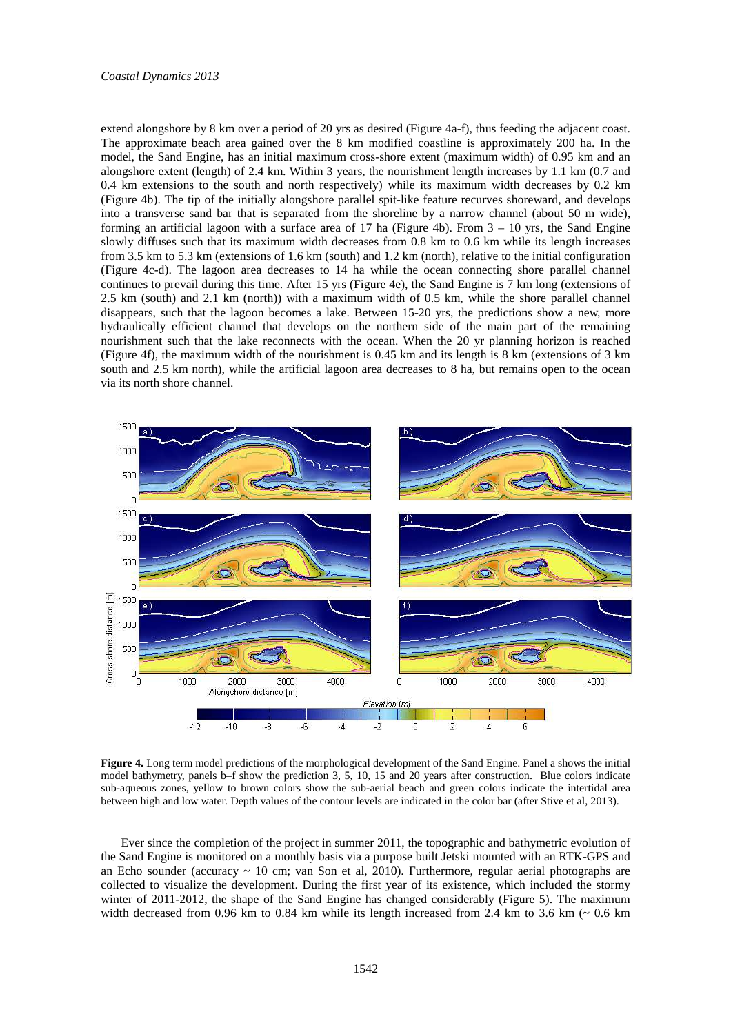extend alongshore by 8 km over a period of 20 yrs as desired (Figure 4a-f), thus feeding the adjacent coast. The approximate beach area gained over the 8 km modified coastline is approximately 200 ha. In the model, the Sand Engine, has an initial maximum cross-shore extent (maximum width) of 0.95 km and an alongshore extent (length) of 2.4 km. Within 3 years, the nourishment length increases by 1.1 km (0.7 and 0.4 km extensions to the south and north respectively) while its maximum width decreases by 0.2 km (Figure 4b). The tip of the initially alongshore parallel spit-like feature recurves shoreward, and develops into a transverse sand bar that is separated from the shoreline by a narrow channel (about 50 m wide), forming an artificial lagoon with a surface area of 17 ha (Figure 4b). From  $3 - 10$  yrs, the Sand Engine slowly diffuses such that its maximum width decreases from 0.8 km to 0.6 km while its length increases from 3.5 km to 5.3 km (extensions of 1.6 km (south) and 1.2 km (north), relative to the initial configuration (Figure 4c-d). The lagoon area decreases to 14 ha while the ocean connecting shore parallel channel continues to prevail during this time. After 15 yrs (Figure 4e), the Sand Engine is 7 km long (extensions of 2.5 km (south) and 2.1 km (north)) with a maximum width of 0.5 km, while the shore parallel channel disappears, such that the lagoon becomes a lake. Between 15-20 yrs, the predictions show a new, more hydraulically efficient channel that develops on the northern side of the main part of the remaining nourishment such that the lake reconnects with the ocean. When the 20 yr planning horizon is reached (Figure 4f), the maximum width of the nourishment is 0.45 km and its length is 8 km (extensions of 3 km south and 2.5 km north), while the artificial lagoon area decreases to 8 ha, but remains open to the ocean via its north shore channel.



**Figure 4.** Long term model predictions of the morphological development of the Sand Engine. Panel a shows the initial model bathymetry, panels b–f show the prediction 3, 5, 10, 15 and 20 years after construction. Blue colors indicate sub-aqueous zones, yellow to brown colors show the sub-aerial beach and green colors indicate the intertidal area between high and low water. Depth values of the contour levels are indicated in the color bar (after Stive et al, 2013).

Ever since the completion of the project in summer 2011, the topographic and bathymetric evolution of the Sand Engine is monitored on a monthly basis via a purpose built Jetski mounted with an RTK-GPS and an Echo sounder (accuracy  $\sim$  10 cm; van Son et al, 2010). Furthermore, regular aerial photographs are collected to visualize the development. During the first year of its existence, which included the stormy winter of 2011-2012, the shape of the Sand Engine has changed considerably (Figure 5). The maximum width decreased from 0.96 km to 0.84 km while its length increased from 2.4 km to 3.6 km  $\sim$  0.6 km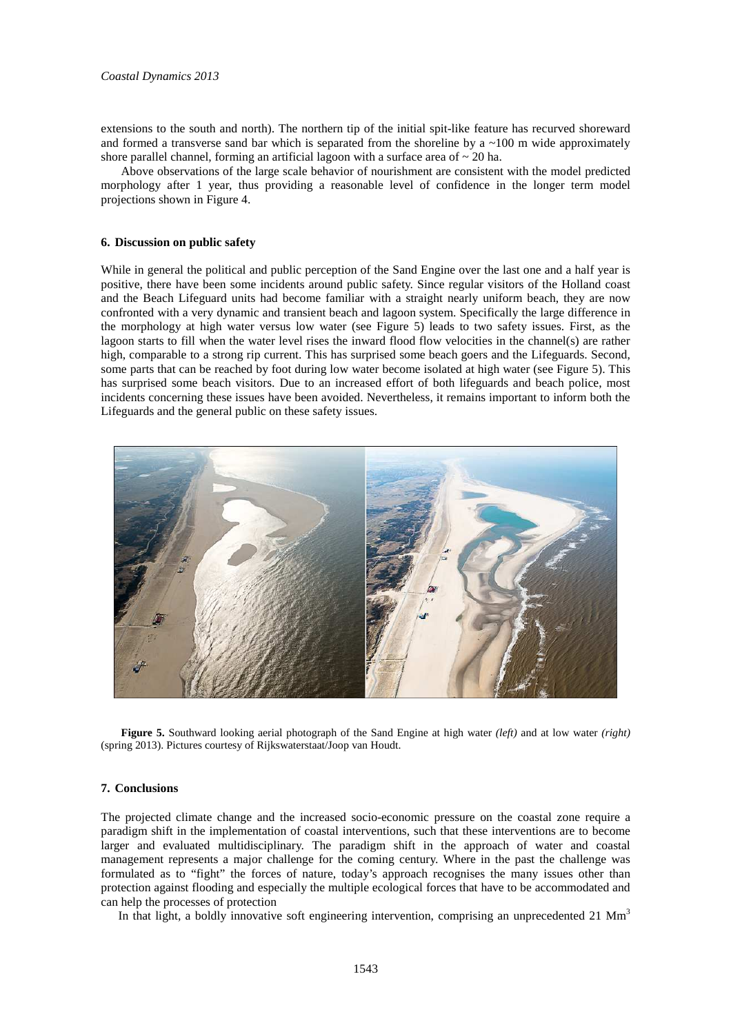extensions to the south and north). The northern tip of the initial spit-like feature has recurved shoreward and formed a transverse sand bar which is separated from the shoreline by a  $\sim$ 100 m wide approximately shore parallel channel, forming an artificial lagoon with a surface area of  $\sim 20$  ha.

Above observations of the large scale behavior of nourishment are consistent with the model predicted morphology after 1 year, thus providing a reasonable level of confidence in the longer term model projections shown in Figure 4.

# **6. Discussion on public safety**

While in general the political and public perception of the Sand Engine over the last one and a half year is positive, there have been some incidents around public safety. Since regular visitors of the Holland coast and the Beach Lifeguard units had become familiar with a straight nearly uniform beach, they are now confronted with a very dynamic and transient beach and lagoon system. Specifically the large difference in the morphology at high water versus low water (see Figure 5) leads to two safety issues. First, as the lagoon starts to fill when the water level rises the inward flood flow velocities in the channel(s) are rather high, comparable to a strong rip current. This has surprised some beach goers and the Lifeguards. Second, some parts that can be reached by foot during low water become isolated at high water (see Figure 5). This has surprised some beach visitors. Due to an increased effort of both lifeguards and beach police, most incidents concerning these issues have been avoided. Nevertheless, it remains important to inform both the Lifeguards and the general public on these safety issues.



**Figure 5.** Southward looking aerial photograph of the Sand Engine at high water *(left)* and at low water *(right)* (spring 2013). Pictures courtesy of Rijkswaterstaat/Joop van Houdt.

# **7. Conclusions**

The projected climate change and the increased socio-economic pressure on the coastal zone require a paradigm shift in the implementation of coastal interventions, such that these interventions are to become larger and evaluated multidisciplinary. The paradigm shift in the approach of water and coastal management represents a major challenge for the coming century. Where in the past the challenge was formulated as to "fight" the forces of nature, today's approach recognises the many issues other than protection against flooding and especially the multiple ecological forces that have to be accommodated and can help the processes of protection

In that light, a boldly innovative soft engineering intervention, comprising an unprecedented  $21 \text{ Mm}^3$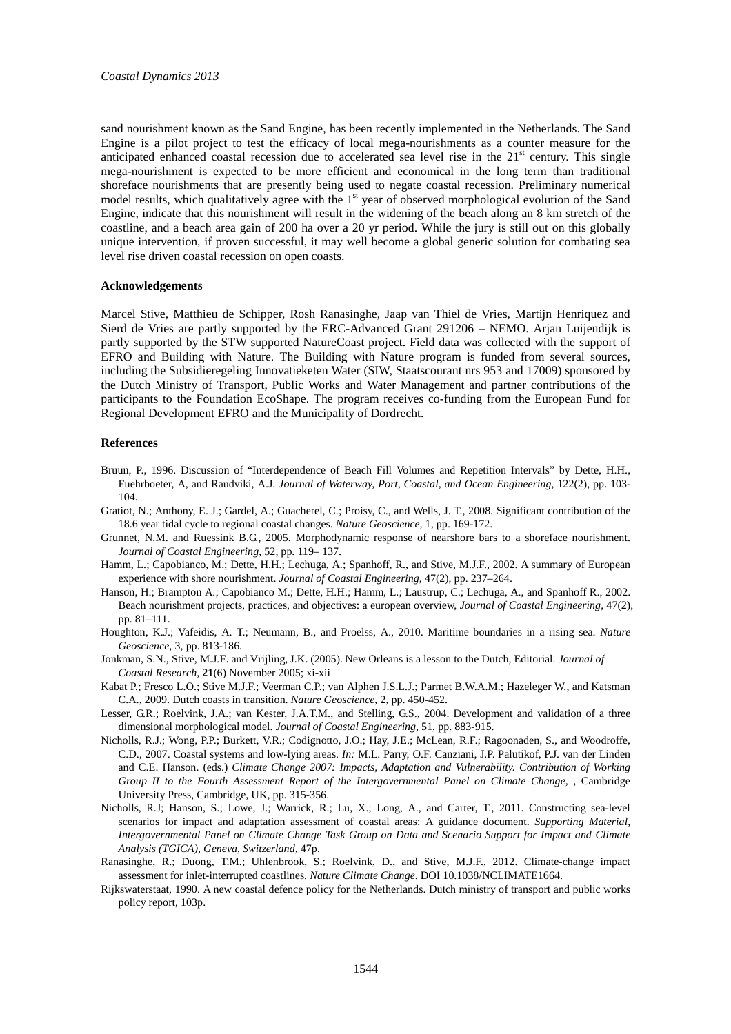sand nourishment known as the Sand Engine, has been recently implemented in the Netherlands. The Sand Engine is a pilot project to test the efficacy of local mega-nourishments as a counter measure for the anticipated enhanced coastal recession due to accelerated sea level rise in the  $21<sup>st</sup>$  century. This single mega-nourishment is expected to be more efficient and economical in the long term than traditional shoreface nourishments that are presently being used to negate coastal recession. Preliminary numerical model results, which qualitatively agree with the  $1<sup>st</sup>$  year of observed morphological evolution of the Sand Engine, indicate that this nourishment will result in the widening of the beach along an 8 km stretch of the coastline, and a beach area gain of 200 ha over a 20 yr period. While the jury is still out on this globally unique intervention, if proven successful, it may well become a global generic solution for combating sea level rise driven coastal recession on open coasts.

### **Acknowledgements**

Marcel Stive, Matthieu de Schipper, Rosh Ranasinghe, Jaap van Thiel de Vries, Martijn Henriquez and Sierd de Vries are partly supported by the ERC-Advanced Grant 291206 – NEMO. Arjan Luijendijk is partly supported by the STW supported NatureCoast project. Field data was collected with the support of EFRO and Building with Nature. The Building with Nature program is funded from several sources, including the Subsidieregeling Innovatieketen Water (SIW, Staatscourant nrs 953 and 17009) sponsored by the Dutch Ministry of Transport, Public Works and Water Management and partner contributions of the participants to the Foundation EcoShape. The program receives co-funding from the European Fund for Regional Development EFRO and the Municipality of Dordrecht.

### **References**

- Bruun, P., 1996. Discussion of "Interdependence of Beach Fill Volumes and Repetition Intervals" by Dette, H.H., Fuehrboeter, A, and Raudviki, A.J. *Journal of Waterway, Port, Coastal, and Ocean Engineering*, 122(2), pp. 103- 104.
- Gratiot, N.; Anthony, E. J.; Gardel, A.; Guacherel, C.; Proisy, C., and Wells, J. T., 2008. Significant contribution of the 18.6 year tidal cycle to regional coastal changes. *Nature Geoscience*, 1, pp. 169-172.
- Grunnet, N.M. and Ruessink B.G., 2005. Morphodynamic response of nearshore bars to a shoreface nourishment. *Journal of Coastal Engineering*, 52, pp. 119– 137.
- Hamm, L.; Capobianco, M.; Dette, H.H.; Lechuga, A.; Spanhoff, R., and Stive, M.J.F., 2002. A summary of European experience with shore nourishment. *Journal of Coastal Engineering*, 47(2), pp. 237–264.
- Hanson, H.; Brampton A.; Capobianco M.; Dette, H.H.; Hamm, L.; Laustrup, C.; Lechuga, A., and Spanhoff R., 2002. Beach nourishment projects, practices, and objectives: a european overview, *Journal of Coastal Engineering*, 47(2), pp. 81–111.
- Houghton, K.J.; Vafeidis, A. T.; Neumann, B., and Proelss, A., 2010. Maritime boundaries in a rising sea. *Nature Geoscience,* 3, pp. 813-186.
- Jonkman, S.N., Stive, M.J.F. and Vrijling, J.K. (2005). New Orleans is a lesson to the Dutch, Editorial. *Journal of Coastal Research*, **21**(6) November 2005; xi-xii
- Kabat P.; Fresco L.O.; Stive M.J.F.; Veerman C.P.; van Alphen J.S.L.J.; Parmet B.W.A.M.; Hazeleger W., and Katsman C.A., 2009. Dutch coasts in transition. *Nature Geoscience*, 2, pp. 450-452.
- Lesser, G.R.; Roelvink, J.A.; van Kester, J.A.T.M., and Stelling, G.S., 2004. Development and validation of a three dimensional morphological model. *Journal of Coastal Engineering*, 51, pp. 883-915.
- Nicholls, R.J.; Wong, P.P.; Burkett, V.R.; Codignotto, J.O.; Hay, J.E.; McLean, R.F.; Ragoonaden, S., and Woodroffe, C.D., 2007. Coastal systems and low-lying areas. *In:* M.L. Parry, O.F. Canziani, J.P. Palutikof, P.J. van der Linden and C.E. Hanson. (eds.) *Climate Change 2007: Impacts, Adaptation and Vulnerability. Contribution of Working Group II to the Fourth Assessment Report of the Intergovernmental Panel on Climate Change,* , Cambridge University Press, Cambridge, UK, pp. 315-356.
- Nicholls, R.J; Hanson, S.; Lowe, J.; Warrick, R.; Lu, X.; Long, A., and Carter, T., 2011. Constructing sea-level scenarios for impact and adaptation assessment of coastal areas: A guidance document. *Supporting Material, Intergovernmental Panel on Climate Change Task Group on Data and Scenario Support for Impact and Climate Analysis (TGICA), Geneva, Switzerland,* 47p.
- Ranasinghe, R.; Duong, T.M.; Uhlenbrook, S.; Roelvink, D., and Stive, M.J.F., 2012. Climate-change impact assessment for inlet-interrupted coastlines. *Nature Climate Change*. DOI 10.1038/NCLIMATE1664.
- Rijkswaterstaat, 1990. A new coastal defence policy for the Netherlands. Dutch ministry of transport and public works policy report, 103p.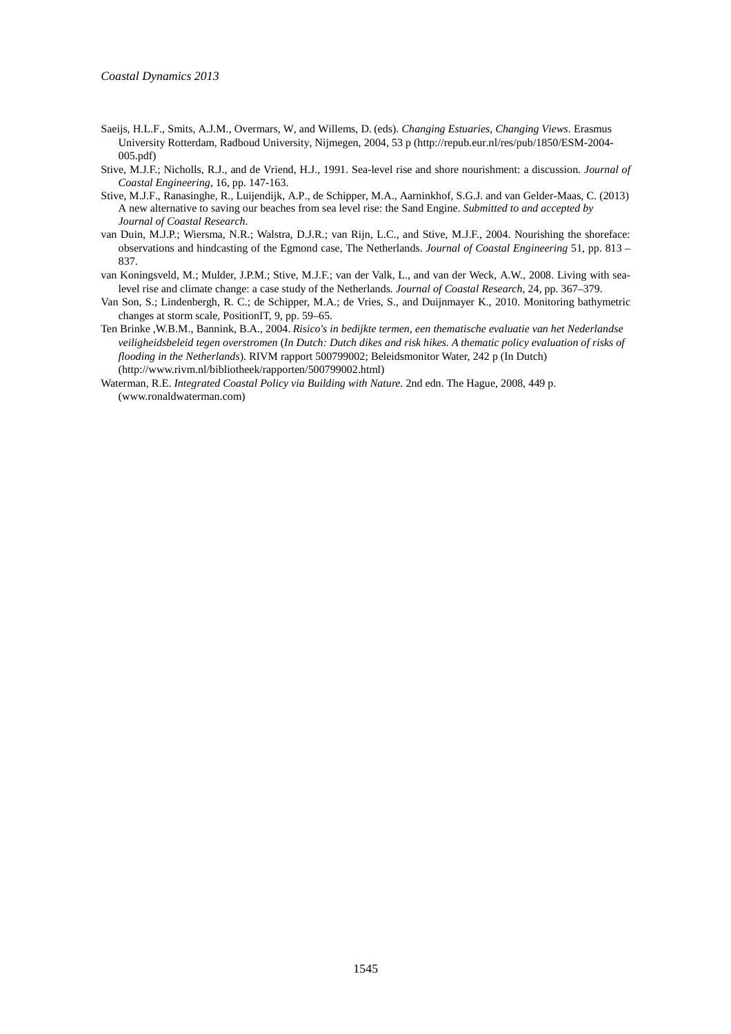- Saeijs, H.L.F., Smits, A.J.M., Overmars, W, and Willems, D. (eds). *Changing Estuaries, Changing Views*. Erasmus University Rotterdam, Radboud University, Nijmegen, 2004, 53 p (http://repub.eur.nl/res/pub/1850/ESM-2004- 005.pdf)
- Stive, M.J.F.; Nicholls, R.J., and de Vriend, H.J., 1991. Sea-level rise and shore nourishment: a discussion. *Journal of Coastal Engineering*, 16, pp. 147-163.
- Stive, M.J.F., Ranasinghe, R., Luijendijk, A.P., de Schipper, M.A., Aarninkhof, S.G.J. and van Gelder-Maas, C. (2013) A new alternative to saving our beaches from sea level rise: the Sand Engine. *Submitted to and accepted by Journal of Coastal Research*.
- van Duin, M.J.P.; Wiersma, N.R.; Walstra, D.J.R.; van Rijn, L.C., and Stive, M.J.F., 2004. Nourishing the shoreface: observations and hindcasting of the Egmond case, The Netherlands. *Journal of Coastal Engineering* 51, pp. 813 – 837.
- van Koningsveld, M.; Mulder, J.P.M.; Stive, M.J.F.; van der Valk, L., and van der Weck, A.W., 2008. Living with sealevel rise and climate change: a case study of the Netherlands*. Journal of Coastal Research*, 24, pp. 367–379.
- Van Son, S.; Lindenbergh, R. C.; de Schipper, M.A.; de Vries, S., and Duijnmayer K., 2010. Monitoring bathymetric changes at storm scale, PositionIT, 9, pp. 59–65.
- Ten Brinke ,W.B.M., Bannink, B.A., 2004. *Risico's in bedijkte termen, een thematische evaluatie van het Nederlandse veiligheidsbeleid tegen overstromen* (*In Dutch: Dutch dikes and risk hikes. A thematic policy evaluation of risks of flooding in the Netherlands*). RIVM rapport 500799002; Beleidsmonitor Water, 242 p (In Dutch) (http://www.rivm.nl/bibliotheek/rapporten/500799002.html)
- Waterman, R.E. *Integrated Coastal Policy via Building with Nature*. 2nd edn. The Hague, 2008, 449 p. (www.ronaldwaterman.com)